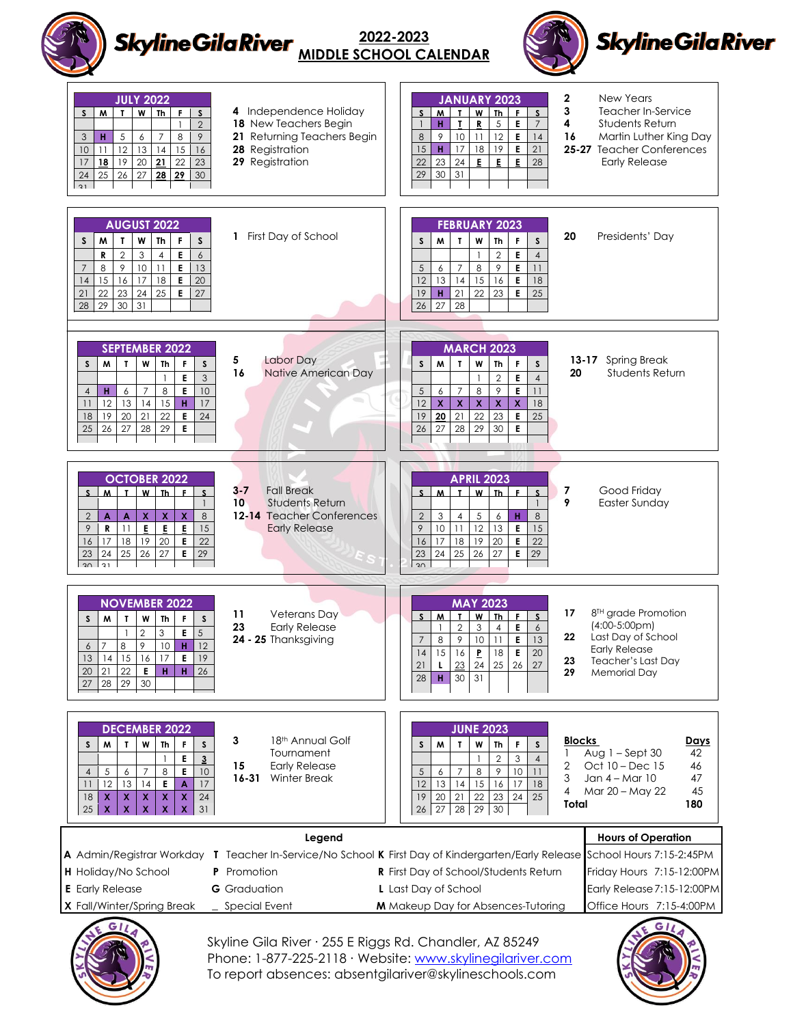## **Skyline Gila River 2022-2023 MIDDLE SCHOOL CALENDAR**New Years **JULY 2022 JANUARY 2023** Independence Holiday **S M T W Th F S** Teacher In-Service  $S$   $M$   $T$   $W$   $Th$   $F$   $S$ New Teachers Begin **H T R** 5 **E** 7 Students Return 2 9 10 11 12 **E** 14 **H** 5 6 7 8 9 Returning Teachers Begin [Martin Luther King Day](http://www.calendarlabs.com/holidays/us/martin-luther-king-day.php) **H** 17 18 19 **E** 21 11 12 13 14 15 16 Registration **25-27** Teacher Conferences  $\sqrt{22}$  23 24 **E**  $\vec{E}$  **E** 28 **18** 19 20 **21** 22 23 Registration Early Release 25 26 27 **28 29** 30 30 31 W





Skyline Gila River ∙ 255 E Riggs Rd. Chandler, AZ 85249 Phone: 1-877-225-2118 ⋅ Website: [www.skylinegilariver.com](http://www.skylinegilariver.com/) To report absences: absentgilariver@skylineschools.com